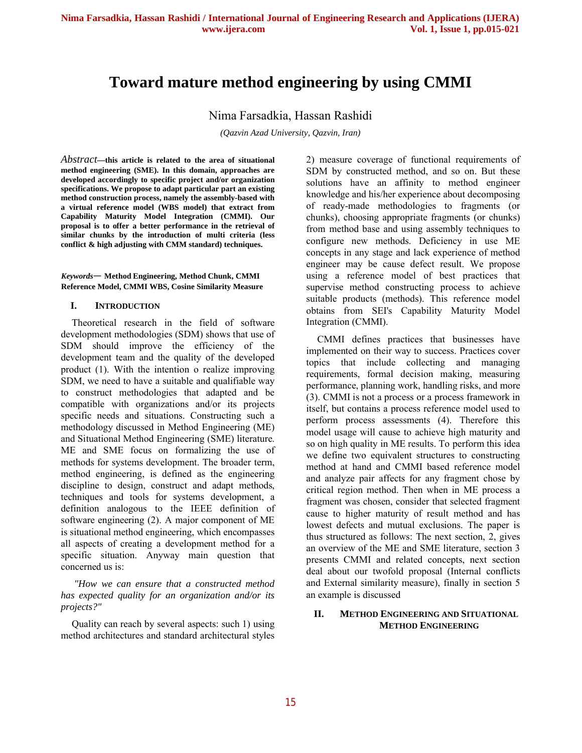# **Toward mature method engineering by using CMMI**

Nima Farsadkia, Hassan Rashidi

*(Qazvin Azad University, Qazvin, Iran)*

*Abstract***—this article is related to the area of situational method engineering (SME). In this domain, approaches are developed accordingly to specific project and/or organization specifications. We propose to adapt particular part an existing method construction process, namely the assembly-based with a virtual reference model (WBS model) that extract from Capability Maturity Model Integration (CMMI). Our proposal is to offer a better performance in the retrieval of similar chunks by the introduction of multi criteria (less conflict & high adjusting with CMM standard) techniques.** 

*Keywords*— **Method Engineering, Method Chunk, CMMI Reference Model, CMMI WBS, Cosine Similarity Measure** 

#### **I. INTRODUCTION**

Theoretical research in the field of software development methodologies (SDM) shows that use of SDM should improve the efficiency of the development team and the quality of the developed product (1). With the intention o realize improving SDM, we need to have a suitable and qualifiable way to construct methodologies that adapted and be compatible with organizations and/or its projects specific needs and situations. Constructing such a methodology discussed in Method Engineering (ME) and Situational Method Engineering (SME) literature. ME and SME focus on formalizing the use of methods for systems development. The broader term, method engineering, is defined as the engineering discipline to design, construct and adapt methods, techniques and tools for systems development, a definition analogous to the IEEE definition of software engineering (2). A major component of ME is situational method engineering, which encompasses all aspects of creating a development method for a specific situation. Anyway main question that concerned us is:

*"How we can ensure that a constructed method has expected quality for an organization and/or its projects?"*

Quality can reach by several aspects: such 1) using method architectures and standard architectural styles

2) measure coverage of functional requirements of SDM by constructed method, and so on. But these solutions have an affinity to method engineer knowledge and his/her experience about decomposing of ready-made methodologies to fragments (or chunks), choosing appropriate fragments (or chunks) from method base and using assembly techniques to configure new methods. Deficiency in use ME concepts in any stage and lack experience of method engineer may be cause defect result. We propose using a reference model of best practices that supervise method constructing process to achieve suitable products (methods). This reference model obtains from SEI's Capability Maturity Model Integration (CMMI).

CMMI defines practices that businesses have implemented on their way to success. Practices cover topics that include collecting and managing requirements, formal decision making, measuring performance, planning work, handling risks, and more (3). CMMI is not a process or a process framework in itself, but contains a process reference model used to perform process assessments (4). Therefore this model usage will cause to achieve high maturity and so on high quality in ME results. To perform this idea we define two equivalent structures to constructing method at hand and CMMI based reference model and analyze pair affects for any fragment chose by critical region method. Then when in ME process a fragment was chosen, consider that selected fragment cause to higher maturity of result method and has lowest defects and mutual exclusions. The paper is thus structured as follows: The next section, 2, gives an overview of the ME and SME literature, section 3 presents CMMI and related concepts, next section deal about our twofold proposal (Internal conflicts and External similarity measure), finally in section 5 an example is discussed

### **II. METHOD ENGINEERING AND SITUATIONAL METHOD ENGINEERING**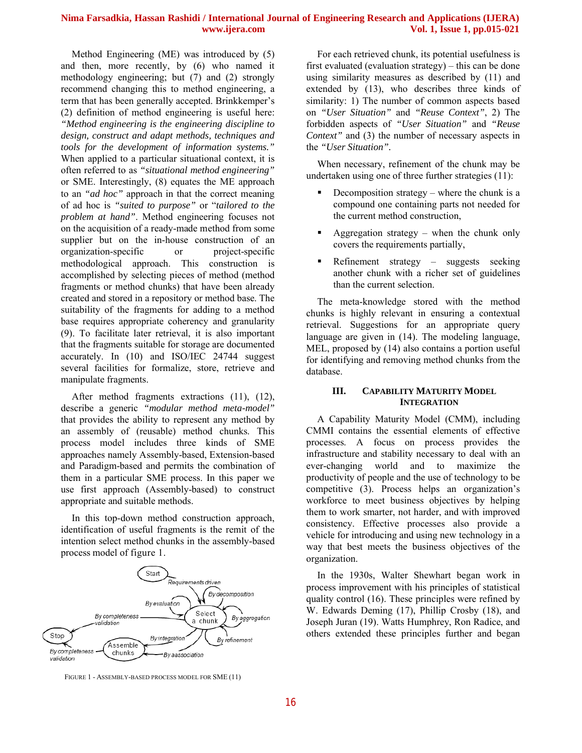Method Engineering (ME) was introduced by (5) and then, more recently, by (6) who named it methodology engineering; but (7) and (2) strongly recommend changing this to method engineering, a term that has been generally accepted. Brinkkemper's (2) definition of method engineering is useful here: *"Method engineering is the engineering discipline to design, construct and adapt methods, techniques and tools for the development of information systems."* When applied to a particular situational context, it is often referred to as *"situational method engineering"* or SME. Interestingly, (8) equates the ME approach to an *"ad hoc"* approach in that the correct meaning of ad hoc is *"suited to purpose"* or "*tailored to the problem at hand"*. Method engineering focuses not on the acquisition of a ready-made method from some supplier but on the in-house construction of an organization-specific or project-specific methodological approach. This construction is accomplished by selecting pieces of method (method fragments or method chunks) that have been already created and stored in a repository or method base. The suitability of the fragments for adding to a method base requires appropriate coherency and granularity (9). To facilitate later retrieval, it is also important that the fragments suitable for storage are documented accurately. In (10) and ISO/IEC 24744 suggest several facilities for formalize, store, retrieve and manipulate fragments.

After method fragments extractions (11), (12), describe a generic *"modular method meta-model"* that provides the ability to represent any method by an assembly of (reusable) method chunks. This process model includes three kinds of SME approaches namely Assembly-based, Extension-based and Paradigm-based and permits the combination of them in a particular SME process. In this paper we use first approach (Assembly-based) to construct appropriate and suitable methods.

In this top-down method construction approach, identification of useful fragments is the remit of the intention select method chunks in the assembly-based process model of figure 1.



FIGURE 1 - ASSEMBLY-BASED PROCESS MODEL FOR SME (11)

For each retrieved chunk, its potential usefulness is first evaluated (evaluation strategy) – this can be done using similarity measures as described by (11) and extended by (13), who describes three kinds of similarity: 1) The number of common aspects based on *"User Situation"* and *"Reuse Context"*, 2) The forbidden aspects of *"User Situation"* and *"Reuse Context"* and (3) the number of necessary aspects in the *"User Situation".*

When necessary, refinement of the chunk may be undertaken using one of three further strategies (11):

- Decomposition strategy where the chunk is a compound one containing parts not needed for the current method construction,
- Aggregation strategy when the chunk only covers the requirements partially,
- Refinement strategy suggests seeking another chunk with a richer set of guidelines than the current selection.

The meta-knowledge stored with the method chunks is highly relevant in ensuring a contextual retrieval. Suggestions for an appropriate query language are given in (14). The modeling language, MEL, proposed by (14) also contains a portion useful for identifying and removing method chunks from the database.

## **III. CAPABILITY MATURITY MODEL INTEGRATION**

A Capability Maturity Model (CMM), including CMMI contains the essential elements of effective processes. A focus on process provides the infrastructure and stability necessary to deal with an ever-changing world and to maximize the productivity of people and the use of technology to be competitive (3). Process helps an organization's workforce to meet business objectives by helping them to work smarter, not harder, and with improved consistency. Effective processes also provide a vehicle for introducing and using new technology in a way that best meets the business objectives of the organization.

In the 1930s, Walter Shewhart began work in process improvement with his principles of statistical quality control (16). These principles were refined by W. Edwards Deming (17), Phillip Crosby (18), and Joseph Juran (19). Watts Humphrey, Ron Radice, and others extended these principles further and began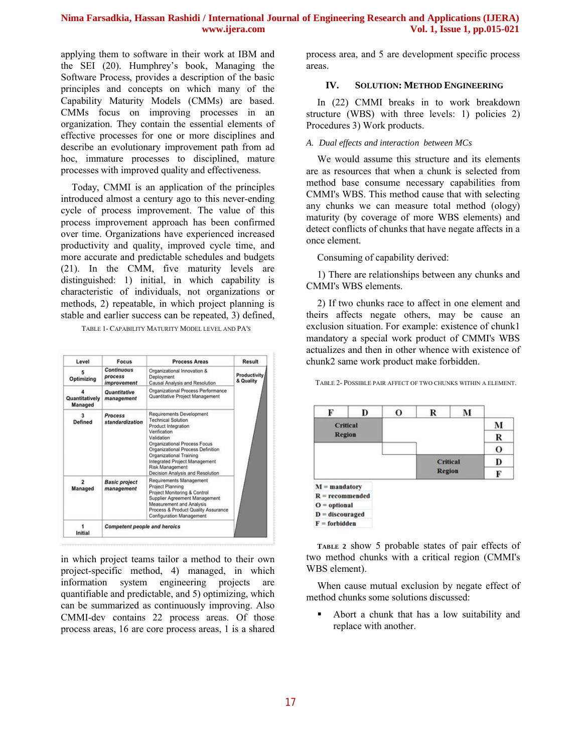applying them to software in their work at IBM and the SEI (20). Humphrey's book, Managing the Software Process, provides a description of the basic principles and concepts on which many of the Capability Maturity Models (CMMs) are based. CMMs focus on improving processes in an organization. They contain the essential elements of effective processes for one or more disciplines and describe an evolutionary improvement path from ad hoc, immature processes to disciplined, mature processes with improved quality and effectiveness.

Today, CMMI is an application of the principles introduced almost a century ago to this never-ending cycle of process improvement. The value of this process improvement approach has been confirmed over time. Organizations have experienced increased productivity and quality, improved cycle time, and more accurate and predictable schedules and budgets (21). In the CMM, five maturity levels are distinguished: 1) initial, in which capability is characteristic of individuals, not organizations or methods, 2) repeatable, in which project planning is stable and earlier success can be repeated, 3) defined,

TABLE 1- CAPABILITY MATURITY MODEL LEVEL AND PA'S

| Level<br><b>Focus</b>            |                                                                                                                                   | <b>Process Areas</b>                                                                                                                                                                                                                                                                                             | Result                    |  |
|----------------------------------|-----------------------------------------------------------------------------------------------------------------------------------|------------------------------------------------------------------------------------------------------------------------------------------------------------------------------------------------------------------------------------------------------------------------------------------------------------------|---------------------------|--|
| Optimizing                       | <b>Continuous</b><br>Organizational Innovation &<br>process<br>Deployment<br><b>Causal Analysis and Resolution</b><br>improvement |                                                                                                                                                                                                                                                                                                                  | Productivity<br>& Quality |  |
| Quantitatively<br><b>Managed</b> | <b>Quantitative</b><br>management                                                                                                 | Organizational Process Performance<br>Quantitative Project Management                                                                                                                                                                                                                                            |                           |  |
| Defined                          | Process<br>standardization                                                                                                        | <b>Requirements Development</b><br><b>Technical Solution</b><br>Product Integration<br>Verification<br>Validation<br>Organizational Process Focus<br>Organizational Process Definition<br>Organizational Training<br><b>Integrated Project Management</b><br>Risk Management<br>Decision Analysis and Resolution |                           |  |
| $\overline{a}$<br>Managed        | <b>Basic project</b><br>management                                                                                                | Requirements Management<br>Project Planning<br>Project Monitoring & Control<br>Supplier Agreement Management<br>Measurement and Analysis<br>Process & Product Quality Assurance<br><b>Configuration Management</b>                                                                                               |                           |  |
| Initial                          | <b>Competent people and heroics</b>                                                                                               |                                                                                                                                                                                                                                                                                                                  |                           |  |

in which project teams tailor a method to their own project-specific method, 4) managed, in which information system engineering projects are quantifiable and predictable, and 5) optimizing, which can be summarized as continuously improving. Also CMMI-dev contains 22 process areas. Of those process areas, 16 are core process areas, 1 is a shared process area, and 5 are development specific process areas.

#### **IV. SOLUTION: METHOD ENGINEERING**

In (22) CMMI breaks in to work breakdown structure (WBS) with three levels: 1) policies 2) Procedures 3) Work products.

#### *A. Dual effects and interaction between MCs*

We would assume this structure and its elements are as resources that when a chunk is selected from method base consume necessary capabilities from CMMI's WBS. This method cause that with selecting any chunks we can measure total method (ology) maturity (by coverage of more WBS elements) and detect conflicts of chunks that have negate affects in a once element.

Consuming of capability derived:

1) There are relationships between any chunks and CMMI's WBS elements.

2) If two chunks race to affect in one element and theirs affects negate others, may be cause an exclusion situation. For example: existence of chunk1 mandatory a special work product of CMMI's WBS actualizes and then in other whence with existence of chunk2 same work product make forbidden.

| F                 | D | о | R               | М |   |
|-------------------|---|---|-----------------|---|---|
| <b>Critical</b>   |   |   |                 |   | м |
| <b>Region</b>     |   |   |                 |   | R |
|                   |   |   |                 |   | о |
|                   |   |   | <b>Critical</b> |   | D |
|                   |   |   | <b>Region</b>   |   | F |
| $M =$ mandatory   |   |   |                 |   |   |
| $R =$ recommended |   |   |                 |   |   |
| $O =$ optional    |   |   |                 |   |   |
| $D =$ discouraged |   |   |                 |   |   |
| $F =$ forbidden   |   |   |                 |   |   |

TABLE 2- POSSIBLE PAIR AFFECT OF TWO CHUNKS WITHIN A ELEMENT.

**TABLE 2** show 5 probable states of pair effects of two method chunks with a critical region (CMMI's WBS element).

When cause mutual exclusion by negate effect of method chunks some solutions discussed:

 Abort a chunk that has a low suitability and replace with another.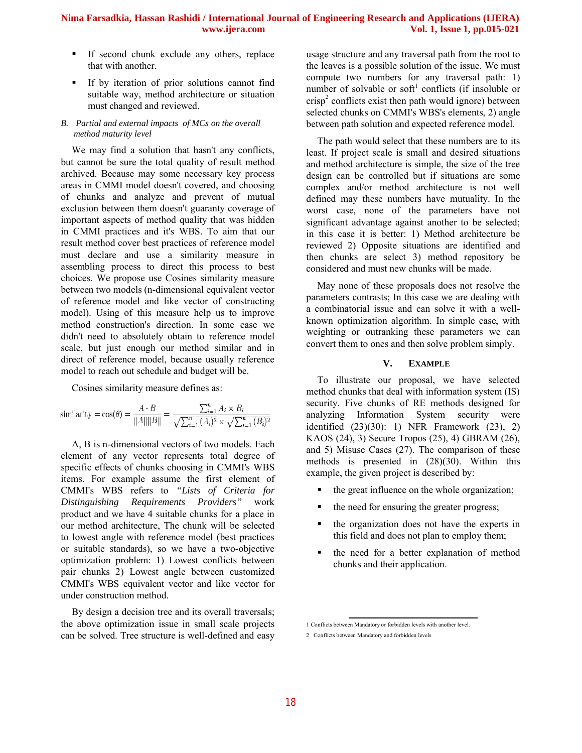- If second chunk exclude any others, replace that with another.
- If by iteration of prior solutions cannot find suitable way, method architecture or situation must changed and reviewed.

#### *B. Partial and external impacts of MCs on the overall method maturity level*

We may find a solution that hasn't any conflicts, but cannot be sure the total quality of result method archived. Because may some necessary key process areas in CMMI model doesn't covered, and choosing of chunks and analyze and prevent of mutual exclusion between them doesn't guaranty coverage of important aspects of method quality that was hidden in CMMI practices and it's WBS. To aim that our result method cover best practices of reference model must declare and use a similarity measure in assembling process to direct this process to best choices. We propose use Cosines similarity measure between two models (n-dimensional equivalent vector of reference model and like vector of constructing model). Using of this measure help us to improve method construction's direction. In some case we didn't need to absolutely obtain to reference model scale, but just enough our method similar and in direct of reference model, because usually reference model to reach out schedule and budget will be.

Cosines similarity measure defines as:

similarity = 
$$
\cos(\theta) = \frac{A \cdot B}{\|A\| \|B\|} = \frac{\sum_{i=1}^{n} A_i \times B_i}{\sqrt{\sum_{i=1}^{n} (A_i)^2} \times \sqrt{\sum_{i=1}^{n} (B_i)^2}}
$$

A, B is n-dimensional vectors of two models. Each element of any vector represents total degree of specific effects of chunks choosing in CMMI's WBS items. For example assume the first element of CMMI's WBS refers to *"Lists of Criteria for Distinguishing Requirements Providers"* work product and we have 4 suitable chunks for a place in our method architecture, The chunk will be selected to lowest angle with reference model (best practices or suitable standards), so we have a two-objective optimization problem: 1) Lowest conflicts between pair chunks 2) Lowest angle between customized CMMI's WBS equivalent vector and like vector for under construction method.

By design a decision tree and its overall traversals; the above optimization issue in small scale projects can be solved. Tree structure is well-defined and easy usage structure and any traversal path from the root to the leaves is a possible solution of the issue. We must compute two numbers for any traversal path: 1) number of solvable or soft<sup>1</sup> conflicts (if insoluble or crisp<sup>2</sup> conflicts exist then path would ignore) between selected chunks on CMMI's WBS's elements, 2) angle between path solution and expected reference model.

The path would select that these numbers are to its least. If project scale is small and desired situations and method architecture is simple, the size of the tree design can be controlled but if situations are some complex and/or method architecture is not well defined may these numbers have mutuality. In the worst case, none of the parameters have not significant advantage against another to be selected; in this case it is better: 1) Method architecture be reviewed 2) Opposite situations are identified and then chunks are select 3) method repository be considered and must new chunks will be made.

May none of these proposals does not resolve the parameters contrasts; In this case we are dealing with a combinatorial issue and can solve it with a wellknown optimization algorithm. In simple case, with weighting or outranking these parameters we can convert them to ones and then solve problem simply.

### **V. EXAMPLE**

To illustrate our proposal, we have selected method chunks that deal with information system (IS) security. Five chunks of RE methods designed for analyzing Information System security were identified (23)(30): 1) NFR Framework (23), 2) KAOS (24), 3) Secure Tropos (25), 4) GBRAM (26), and 5) Misuse Cases (27). The comparison of these methods is presented in (28)(30). Within this example, the given project is described by:

- the great influence on the whole organization;
- the need for ensuring the greater progress;
- the organization does not have the experts in this field and does not plan to employ them;
- the need for a better explanation of method chunks and their application.

<sup>1</sup> Conflicts between Mandatory or forbidden levels with another level.

<sup>2</sup> Conflicts between Mandatory and forbidden levels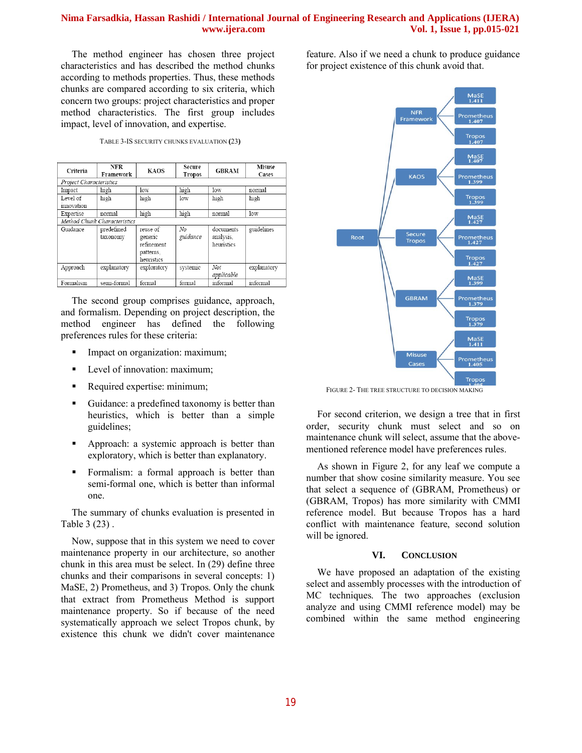The method engineer has chosen three project characteristics and has described the method chunks according to methods properties. Thus, these methods chunks are compared according to six criteria, which concern two groups: project characteristics and proper method characteristics. The first group includes impact, level of innovation, and expertise.

| TABLE 3-IS SECURITY CHUNKS EVALUATION (23) |  |  |
|--------------------------------------------|--|--|
|                                            |  |  |

| Criteria                     | <b>NFR</b><br>Framework | <b>KAOS</b>                                                  | Secure<br><b>Tropos</b> | <b>GBRAM</b>                         | Misuse<br>Cases |  |  |
|------------------------------|-------------------------|--------------------------------------------------------------|-------------------------|--------------------------------------|-----------------|--|--|
| Project Characteristics      |                         |                                                              |                         |                                      |                 |  |  |
| Impact                       | high                    | low                                                          | high                    | low                                  | normal          |  |  |
| Level of<br>innovation       | high                    | high                                                         | low                     | high                                 | high            |  |  |
| Expertise                    | normal                  | high                                                         | high                    | normal                               | low             |  |  |
| Method Chunk Characteristics |                         |                                                              |                         |                                      |                 |  |  |
| Guidance                     | predefined<br>taxonomy  | reuse of<br>generic<br>refinement<br>patterns,<br>heuristics | No<br>guidance          | documents<br>analysis.<br>heuristics | guidelines      |  |  |
| Approach                     | explanatory             | exploratory                                                  | systemic                | Not<br>applicable                    | explanatory     |  |  |
| Formalism                    | semi-formal             | formal                                                       | formal                  | informal                             | informal        |  |  |

The second group comprises guidance, approach, and formalism. Depending on project description, the method engineer has defined the following preferences rules for these criteria:

- Impact on organization: maximum;
- **Level of innovation: maximum;**
- Required expertise: minimum;
- Guidance: a predefined taxonomy is better than heuristics, which is better than a simple guidelines;
- Approach: a systemic approach is better than exploratory, which is better than explanatory.
- **Formalism:** a formal approach is better than semi-formal one, which is better than informal one.

The summary of chunks evaluation is presented in Table 3 (23) .

Now, suppose that in this system we need to cover maintenance property in our architecture, so another chunk in this area must be select. In (29) define three chunks and their comparisons in several concepts: 1) MaSE, 2) Prometheus, and 3) Tropos. Only the chunk that extract from Prometheus Method is support maintenance property. So if because of the need systematically approach we select Tropos chunk, by existence this chunk we didn't cover maintenance feature. Also if we need a chunk to produce guidance for project existence of this chunk avoid that.



FIGURE 2- THE TREE STRUCTURE TO DECISION MAKING

For second criterion, we design a tree that in first order, security chunk must select and so on maintenance chunk will select, assume that the abovementioned reference model have preferences rules.

As shown in Figure 2, for any leaf we compute a number that show cosine similarity measure. You see that select a sequence of (GBRAM, Prometheus) or (GBRAM, Tropos) has more similarity with CMMI reference model. But because Tropos has a hard conflict with maintenance feature, second solution will be ignored.

#### **VI. CONCLUSION**

We have proposed an adaptation of the existing select and assembly processes with the introduction of MC techniques. The two approaches (exclusion analyze and using CMMI reference model) may be combined within the same method engineering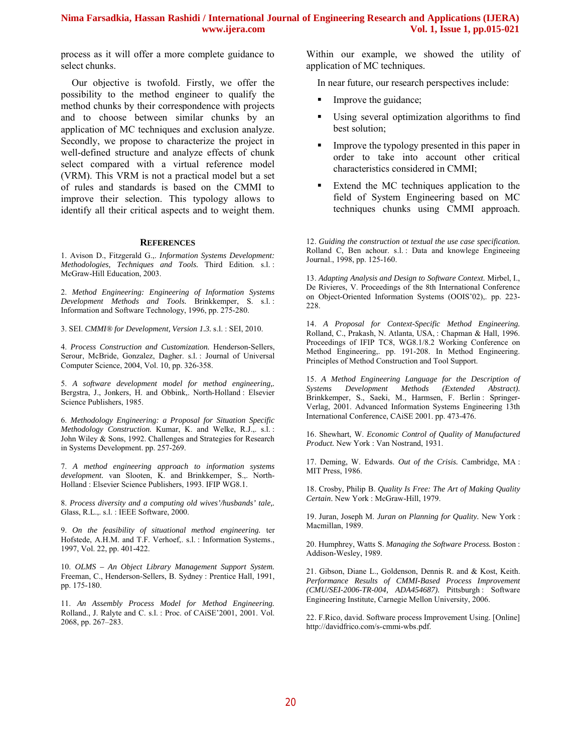process as it will offer a more complete guidance to select chunks.

Our objective is twofold. Firstly, we offer the possibility to the method engineer to qualify the method chunks by their correspondence with projects and to choose between similar chunks by an application of MC techniques and exclusion analyze. Secondly, we propose to characterize the project in well-defined structure and analyze effects of chunk select compared with a virtual reference model (VRM). This VRM is not a practical model but a set of rules and standards is based on the CMMI to improve their selection. This typology allows to identify all their critical aspects and to weight them.

#### **REFERENCES**

1. Avison D., Fitzgerald G.,. *Information Systems Development: Methodologies, Techniques and Tools.* Third Edition. s.l. : McGraw-Hill Education, 2003.

2. *Method Engineering: Engineering of Information Systems Development Methods and Tools.* Brinkkemper, S. s.l. : Information and Software Technology, 1996, pp. 275-280.

3. SEI. *CMMI® for Development, Version 1.3.* s.l. : SEI, 2010.

4. *Process Construction and Customization.* Henderson-Sellers, Serour, McBride, Gonzalez, Dagher. s.l. : Journal of Universal Computer Science, 2004, Vol. 10, pp. 326-358.

5. *A software development model for method engineering,.*  Bergstra, J., Jonkers, H. and Obbink,. North-Holland : Elsevier Science Publishers, 1985.

6. *Methodology Engineering: a Proposal for Situation Specific Methodology Construction.* Kumar, K. and Welke, R.J.,. s.l.: John Wiley & Sons, 1992. Challenges and Strategies for Research in Systems Development. pp. 257-269.

7. *A method engineering approach to information systems development.* van Slooten, K. and Brinkkemper, S.,. North-Holland : Elsevier Science Publishers, 1993. IFIP WG8.1.

8. *Process diversity and a computing old wives'/husbands' tale,.*  Glass, R.L.,. s.l. : IEEE Software, 2000.

9. *On the feasibility of situational method engineering.* ter Hofstede, A.H.M. and T.F. Verhoef,. s.l. : Information Systems., 1997, Vol. 22, pp. 401-422.

10. *OLMS – An Object Library Management Support System.*  Freeman, C., Henderson-Sellers, B. Sydney : Prentice Hall, 1991, pp. 175-180.

11. *An Assembly Process Model for Method Engineering.*  Rolland., J. Ralyte and C. s.l. : Proc. of CAiSE'2001, 2001. Vol. 2068, pp. 267–283.

Within our example, we showed the utility of application of MC techniques.

In near future, our research perspectives include:

- Improve the guidance;
- Using several optimization algorithms to find best solution;
- Improve the typology presented in this paper in order to take into account other critical characteristics considered in CMMI;
- Extend the MC techniques application to the field of System Engineering based on MC techniques chunks using CMMI approach.

12. *Guiding the construction ot textual the use case specification.*  Rolland C, Ben achour. s.l. : Data and knowlege Engineeing Journal., 1998, pp. 125-160.

13. *Adapting Analysis and Design to Software Context.* Mirbel, I., De Rivieres, V. Proceedings of the 8th International Conference on Object-Oriented Information Systems (OOIS'02),. pp. 223- 228.

14. *A Proposal for Context-Specific Method Engineering.*  Rolland, C., Prakash, N. Atlanta, USA, : Chapman & Hall, 1996. Proceedings of IFIP TC8, WG8.1/8.2 Working Conference on Method Engineering,. pp. 191-208. In Method Engineering. Principles of Method Construction and Tool Support.

15. *A Method Engineering Language for the Description of Systems Development Methods (Extended Abstract).*  Brinkkemper, S., Saeki, M., Harmsen, F. Berlin : Springer-Verlag, 2001. Advanced Information Systems Engineering 13th International Conference, CAiSE 2001. pp. 473-476.

16. Shewhart, W. *Economic Control of Quality of Manufactured Product.* New York : Van Nostrand, 1931.

17. Deming, W. Edwards. *Out of the Crisis.* Cambridge, MA : MIT Press, 1986.

18. Crosby, Philip B. *Quality Is Free: The Art of Making Quality Certain.* New York : McGraw-Hill, 1979.

19. Juran, Joseph M. *Juran on Planning for Quality.* New York : Macmillan, 1989.

20. Humphrey, Watts S. *Managing the Software Process.* Boston : Addison-Wesley, 1989.

21. Gibson, Diane L., Goldenson, Dennis R. and & Kost, Keith. *Performance Results of CMMI-Based Process Improvement (CMU/SEI-2006-TR-004, ADA454687).* Pittsburgh : Software Engineering Institute, Carnegie Mellon University, 2006.

22. F.Rico, david. Software process Improvement Using. [Online] http://davidfrico.com/s-cmmi-wbs.pdf.